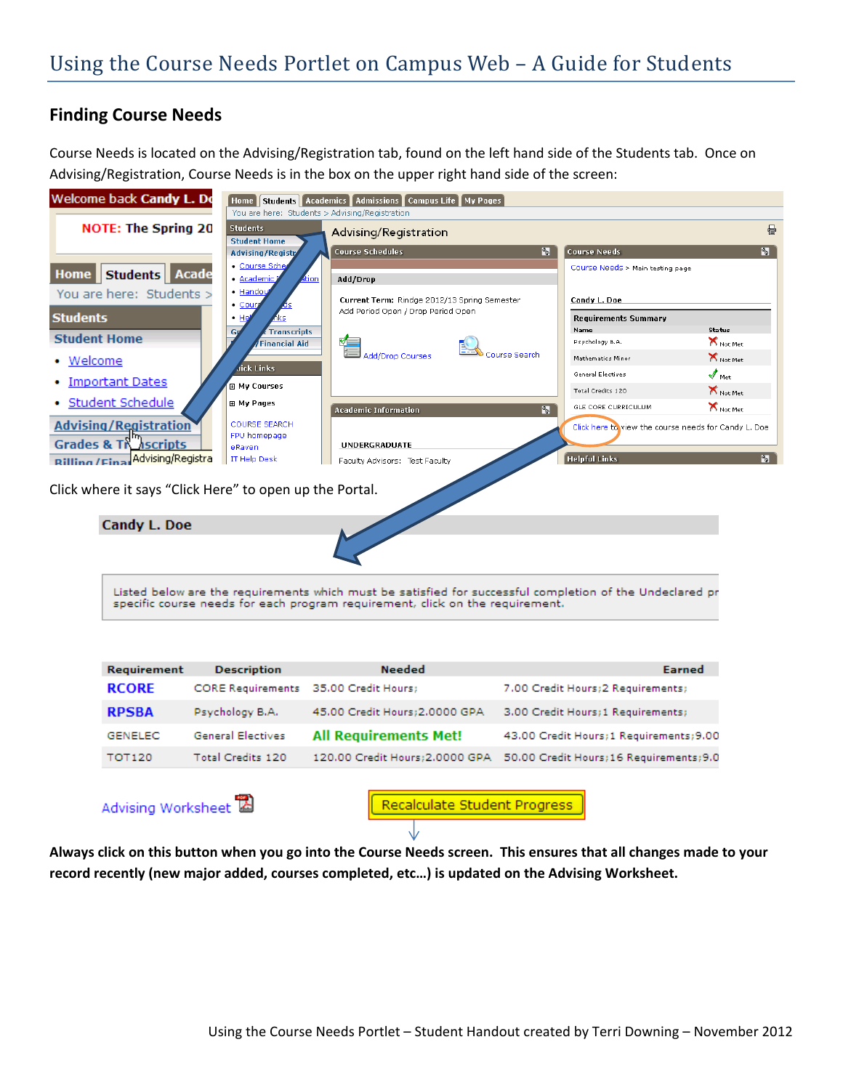## **Finding Course Needs**

Course Needs is located on the Advising/Registration tab, found on the left hand side of the Students tab. Once on Advising/Registration, Course Needs is in the box on the upper right hand side of the screen:



| Requirement    | <b>Description</b>                    | <b>Needed</b>                   | Earned                                   |
|----------------|---------------------------------------|---------------------------------|------------------------------------------|
| <b>RCORE</b>   | CORE Requirements 35.00 Credit Hours; |                                 | 7.00 Credit Hours: 2 Requirements:       |
| <b>RPSBA</b>   | Psychology B.A.                       | 45.00 Credit Hours: 2.0000 GPA  | 3.00 Credit Hours; 1 Requirements;       |
| <b>GENELEC</b> | General Electives                     | <b>All Requirements Met!</b>    | 43.00 Credit Hours; 1 Requirements; 9.00 |
| <b>TOT120</b>  | Total Credits 120                     | 120.00 Credit Hours: 2.0000 GPA | 50.00 Credit Hours; 16 Requirements; 9.0 |
|                |                                       |                                 |                                          |

Advising Worksheet

Recalculate Student Progress

Always click on this button when you go into the Course Needs screen. This ensures that all changes made to your **record recently (new major added, courses completed, etc…) is updated on the Advising Worksheet.**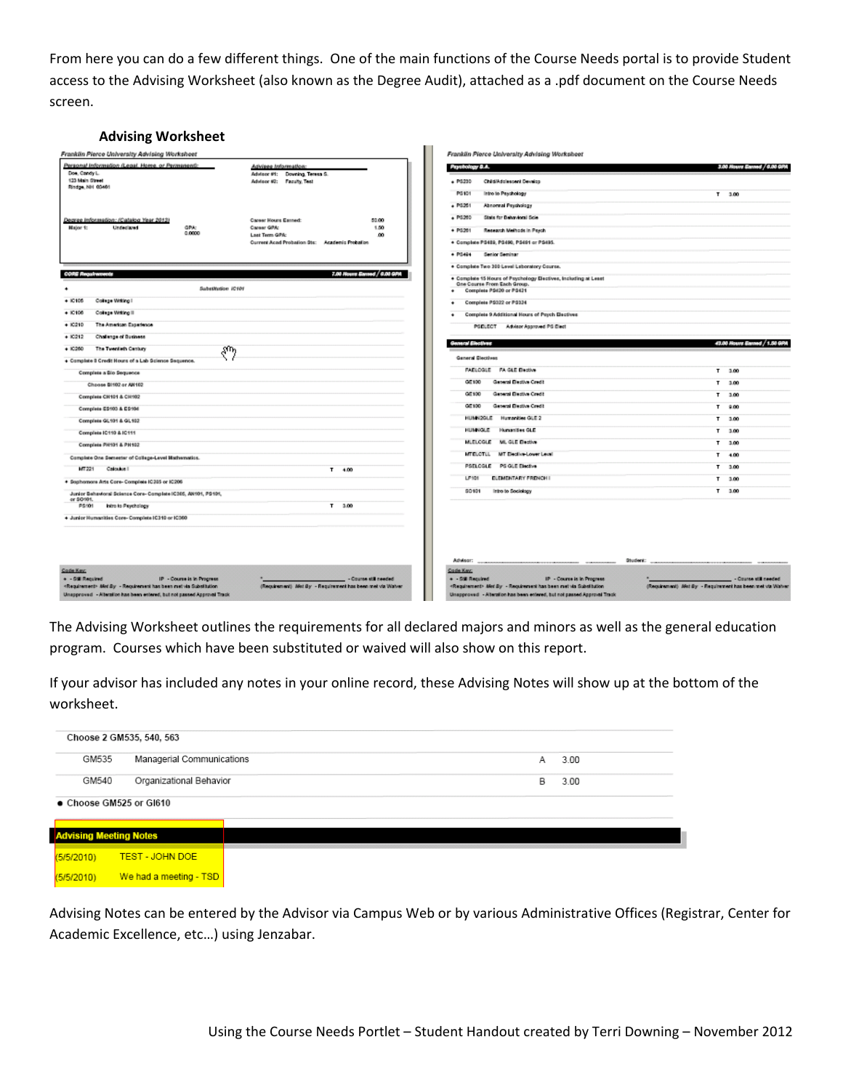From here you can do a few different things. One of the main functions of the Course Needs portal is to provide Student access to the Advising Worksheet (also known as the Degree Audit), attached as a .pdf document on the Course Needs screen.

| <b>Advising Worksheet</b>                                                                                                                                                                                     |                                                                  |                       |                                                                                                                                                                                                                |                                                                                     |
|---------------------------------------------------------------------------------------------------------------------------------------------------------------------------------------------------------------|------------------------------------------------------------------|-----------------------|----------------------------------------------------------------------------------------------------------------------------------------------------------------------------------------------------------------|-------------------------------------------------------------------------------------|
| Franklin Pierce University Advising Worksheet                                                                                                                                                                 |                                                                  |                       | Franklin Pierce University Advising Worksheet                                                                                                                                                                  |                                                                                     |
| Personal Information (Legal, Home, or Permanent):                                                                                                                                                             | Advisee Information:                                             |                       | Psychology B.A.                                                                                                                                                                                                | 3.00 Rours Earned / 6.00 GPA                                                        |
| Doe, Candy L.<br>123 Main Street                                                                                                                                                                              | Advisor #1: Downing, Teresa S.<br>Advisor #2: Faculty, Test      |                       | Child/Addissoent Develop<br>$+ P6220$                                                                                                                                                                          |                                                                                     |
| Rindge, NH 03461                                                                                                                                                                                              |                                                                  |                       | PS101<br>Intro to Paychology                                                                                                                                                                                   | T 3.00                                                                              |
|                                                                                                                                                                                                               |                                                                  |                       | Abnormal Psychology<br>$+ 19251$                                                                                                                                                                               |                                                                                     |
| Degree Information: (Catalog Year 2012)                                                                                                                                                                       | <b>Career Hours Estned:</b>                                      | 50.00                 | State for Behavioral Scie<br>$+ P5260$                                                                                                                                                                         |                                                                                     |
| Major 1:<br>Undeclared<br>GPA.<br>0.0000                                                                                                                                                                      | Career GPA:                                                      | 1.50                  | + PS201<br>Research Methods in Paych                                                                                                                                                                           |                                                                                     |
|                                                                                                                                                                                                               | Last Term GPA:<br>Current Acad Probation Sts: Academic Probation | 80                    | + Complete PS429, PS450, PS491 or PS495.                                                                                                                                                                       |                                                                                     |
|                                                                                                                                                                                                               |                                                                  |                       | $+ P6494$<br>Senior Seminar                                                                                                                                                                                    |                                                                                     |
|                                                                                                                                                                                                               |                                                                  |                       | + Complete Two 300 Level Laboratory Course.                                                                                                                                                                    |                                                                                     |
| <b>CORE Regulatorients</b>                                                                                                                                                                                    | 7.00 Rouvs Earned / 6.00 GPA                                     |                       | + Complete 15 Hours of Psychology Electives, Including at Least                                                                                                                                                |                                                                                     |
| Substitution (C101                                                                                                                                                                                            |                                                                  |                       | One Course From Each Group.<br>Complete PS420 or PS421                                                                                                                                                         |                                                                                     |
| College Witting I<br>$+10105$                                                                                                                                                                                 |                                                                  |                       | Complete PS322 or PS334<br>۰                                                                                                                                                                                   |                                                                                     |
| College Witting II<br>$+10106$                                                                                                                                                                                |                                                                  |                       | Complete 9 Additional Hours of Psych Electives<br>$\ddot{\phantom{1}}$                                                                                                                                         |                                                                                     |
| $+ 10210$<br>The American Experience                                                                                                                                                                          |                                                                  |                       | PSELECT Advisor Approved PS Elect                                                                                                                                                                              |                                                                                     |
| $+10212$<br><b>Challenge of Business</b>                                                                                                                                                                      |                                                                  |                       |                                                                                                                                                                                                                |                                                                                     |
| $+$ 10260<br>The Twentieth Century<br>ՋՊդ                                                                                                                                                                     |                                                                  |                       | General Electives                                                                                                                                                                                              | 43.00 Nouve Earned / 1.50 GRI                                                       |
| + Complete B Credit Hours of a Lab Science Sequence.                                                                                                                                                          |                                                                  |                       | <b>General Electives</b>                                                                                                                                                                                       |                                                                                     |
| Complete a Bio Sequence                                                                                                                                                                                       |                                                                  |                       | <b>FAELOGLE FA GLE Beative</b>                                                                                                                                                                                 | T 3.00                                                                              |
| Choose BI102 or AH102                                                                                                                                                                                         |                                                                  |                       | General Elective Credit<br>GIE100                                                                                                                                                                              | T 3.00                                                                              |
| Complete CH101 & CH102                                                                                                                                                                                        |                                                                  |                       | General Elective Credit<br>GIE 100                                                                                                                                                                             | T 3.00                                                                              |
| Complete E9103 & E9104                                                                                                                                                                                        |                                                                  |                       | GE100<br>General Elective Credit                                                                                                                                                                               | T 9.00                                                                              |
| Complete GL101 & GL102                                                                                                                                                                                        |                                                                  |                       | HUMN2GLE Humanities GLE 2                                                                                                                                                                                      | T 3.00                                                                              |
| Complete IC119 & IC111                                                                                                                                                                                        |                                                                  |                       | Humanities GLE<br><b>ILLINOULE</b>                                                                                                                                                                             | T 3.00                                                                              |
| Complete PH101 & PH102                                                                                                                                                                                        |                                                                  |                       | MLELCGLE ML GLE Elective                                                                                                                                                                                       | 3.00<br>т                                                                           |
| Complete One Semester of College-Level Mathematics.                                                                                                                                                           |                                                                  |                       | MT Elective-Lower Level<br><b>MTBLCTLL</b>                                                                                                                                                                     | $T = 4.00$                                                                          |
| MT221<br>Calculus II                                                                                                                                                                                          | $T = 4.00$                                                       |                       | PSELOGLE PS GLE Elective                                                                                                                                                                                       | T 3.00                                                                              |
| + Sophomore Arts Core- Complete IC205 or IC206                                                                                                                                                                |                                                                  |                       | <b>CLEMENTARY FRENCH I</b><br>LP101                                                                                                                                                                            | T 3.00                                                                              |
| Junior Behavioral Science Core- Complete IC205, AN101, PS101,                                                                                                                                                 |                                                                  |                       | 90101<br>Intro to Sociology                                                                                                                                                                                    | T 3.00                                                                              |
| or SO101<br>PS101<br>Intro to Psychology                                                                                                                                                                      | T 3.00                                                           |                       |                                                                                                                                                                                                                |                                                                                     |
| + Junior Humanities Core- Complete (C310 or (C360)                                                                                                                                                            |                                                                  |                       |                                                                                                                                                                                                                |                                                                                     |
|                                                                                                                                                                                                               |                                                                  |                       | Advisor:                                                                                                                                                                                                       | Student:                                                                            |
| Code Key:<br>+ - Still Required<br>IP - Course is in Progress<br>«Requirement» Alet By - Requirement has been met via Substitution<br>Unapproved - Alteration has been entered, but not passed Approval Track | (Requirement) Afet By - Requirement has been met via Watver      | - Counte still needed | Code Key:<br>+ - Still Required<br>IP - Course is in Progress<br>«Requirement» Allet By - Requirement has been met via Substitution<br>Unapproved - Alteration has been entered, but not passed Approval Track | - Counte still needed<br>(Requirement) Met By - Requirement has been met via Watver |

The Advising Worksheet outlines the requirements for all declared majors and minors as well as the general education program. Courses which have been substituted or waived will also show on this report.

If your advisor has included any notes in your online record, these Advising Notes will show up at the bottom of the worksheet.

|                                                        | Choose 2 GM535, 540, 563  |   |      |
|--------------------------------------------------------|---------------------------|---|------|
| GM535                                                  | Managerial Communications | А | 3.00 |
| GM540                                                  | Organizational Behavior   | В | 3.00 |
| Choose GM525 or GI610<br><b>Advising Meeting Notes</b> |                           |   |      |
| (5/5/2010)                                             | <b>TEST - JOHN DOE</b>    |   |      |
| (5/5/2010)                                             | We had a meeting - TSD    |   |      |

Advising Notes can be entered by the Advisor via Campus Web or by various Administrative Offices (Registrar, Center for Academic Excellence, etc…) using Jenzabar.